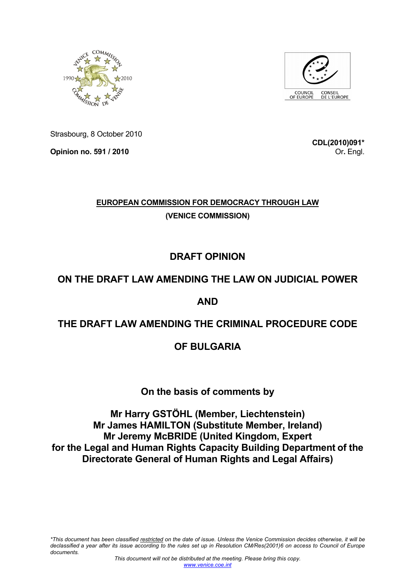



Strasbourg, 8 October 2010

**Opinion no. 591 / 2010** 

**CDL(2010)091\*** Or**.** Engl.

# **EUROPEAN COMMISSION FOR DEMOCRACY THROUGH LAW (VENICE COMMISSION)**

# **DRAFT OPINION**

# **ON THE DRAFT LAW AMENDING THE LAW ON JUDICIAL POWER**

## **AND**

## **THE DRAFT LAW AMENDING THE CRIMINAL PROCEDURE CODE**

## **OF BULGARIA**

## **On the basis of comments by**

**Mr Harry GSTÖHL (Member, Liechtenstein) Mr James HAMILTON (Substitute Member, Ireland) Mr Jeremy McBRIDE (United Kingdom, Expert for the Legal and Human Rights Capacity Building Department of the Directorate General of Human Rights and Legal Affairs)**

*\*This document has been classified restricted on the date of issue. Unless the Venice Commission decides otherwise, it will be declassified a year after its issue according to the rules set up in Resolution CM/Res(2001)6 on access to Council of Europe documents.*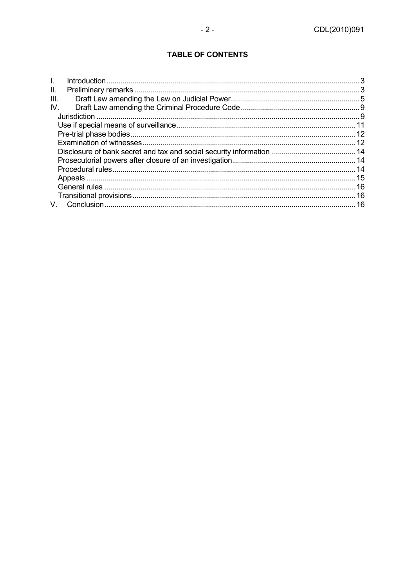## **TABLE OF CONTENTS**

| $\mathbf{L}$ |  |
|--------------|--|
| II.          |  |
| III.         |  |
| IV.          |  |
|              |  |
|              |  |
|              |  |
|              |  |
|              |  |
|              |  |
|              |  |
|              |  |
|              |  |
|              |  |
|              |  |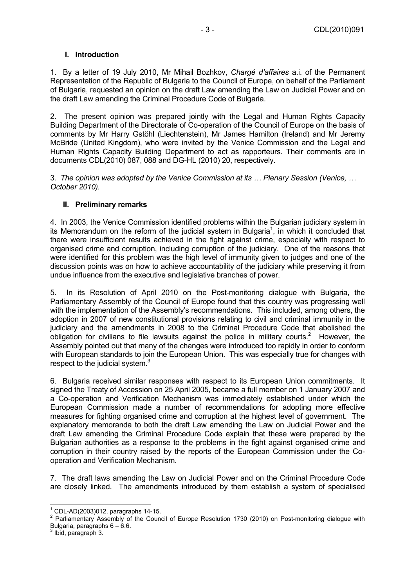## **I. Introduction**

1. By a letter of 19 July 2010, Mr Mihail Bozhkov, *Chargé d'affaires* a.i. of the Permanent Representation of the Republic of Bulgaria to the Council of Europe, on behalf of the Parliament of Bulgaria, requested an opinion on the draft Law amending the Law on Judicial Power and on the draft Law amending the Criminal Procedure Code of Bulgaria.

2. The present opinion was prepared jointly with the Legal and Human Rights Capacity Building Department of the Directorate of Co-operation of the Council of Europe on the basis of comments by Mr Harry Gstöhl (Liechtenstein), Mr James Hamilton (Ireland) and Mr Jeremy McBride (United Kingdom), who were invited by the Venice Commission and the Legal and Human Rights Capacity Building Department to act as rapporteurs. Their comments are in documents CDL(2010) 087, 088 and DG-HL (2010) 20, respectively.

3. *The opinion was adopted by the Venice Commission at its … Plenary Session (Venice, … October 2010).* 

## **II. Preliminary remarks**

4. In 2003, the Venice Commission identified problems within the Bulgarian judiciary system in its Memorandum on the reform of the judicial system in Bulgaria<sup>1</sup>, in which it concluded that there were insufficient results achieved in the fight against crime, especially with respect to organised crime and corruption, including corruption of the judiciary. One of the reasons that were identified for this problem was the high level of immunity given to judges and one of the discussion points was on how to achieve accountability of the judiciary while preserving it from undue influence from the executive and legislative branches of power.

5. In its Resolution of April 2010 on the Post-monitoring dialogue with Bulgaria, the Parliamentary Assembly of the Council of Europe found that this country was progressing well with the implementation of the Assembly's recommendations. This included, among others, the adoption in 2007 of new constitutional provisions relating to civil and criminal immunity in the judiciary and the amendments in 2008 to the Criminal Procedure Code that abolished the obligation for civilians to file lawsuits against the police in military courts.<sup>2</sup> However, the Assembly pointed out that many of the changes were introduced too rapidly in order to conform with European standards to join the European Union. This was especially true for changes with respect to the judicial system.<sup>3</sup>

6. Bulgaria received similar responses with respect to its European Union commitments. It signed the Treaty of Accession on 25 April 2005, became a full member on 1 January 2007 and a Co-operation and Verification Mechanism was immediately established under which the European Commission made a number of recommendations for adopting more effective measures for fighting organised crime and corruption at the highest level of government. The explanatory memoranda to both the draft Law amending the Law on Judicial Power and the draft Law amending the Criminal Procedure Code explain that these were prepared by the Bulgarian authorities as a response to the problems in the fight against organised crime and corruption in their country raised by the reports of the European Commission under the Cooperation and Verification Mechanism.

7. The draft laws amending the Law on Judicial Power and on the Criminal Procedure Code are closely linked. The amendments introduced by them establish a system of specialised

 $\overline{a}$  $1^{1}$  CDL-AD(2003)012, paragraphs 14-15.

 $2$  Parliamentary Assembly of the Council of Europe Resolution 1730 (2010) on Post-monitoring dialogue with Bulgaria, paragraphs 6 – 6.6. 3 Ibid, paragraph 3.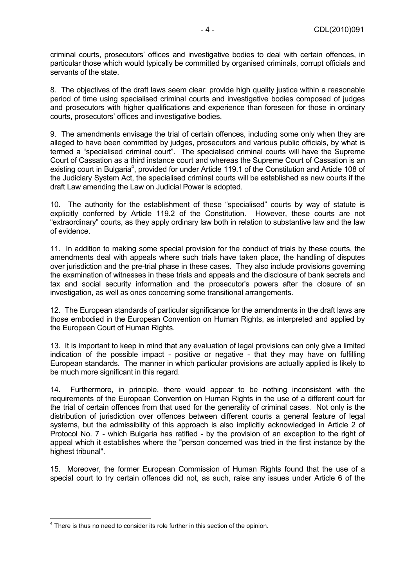criminal courts, prosecutors' offices and investigative bodies to deal with certain offences, in particular those which would typically be committed by organised criminals, corrupt officials and servants of the state.

8. The objectives of the draft laws seem clear: provide high quality justice within a reasonable period of time using specialised criminal courts and investigative bodies composed of judges and prosecutors with higher qualifications and experience than foreseen for those in ordinary courts, prosecutors' offices and investigative bodies.

9. The amendments envisage the trial of certain offences, including some only when they are alleged to have been committed by judges, prosecutors and various public officials, by what is termed a "specialised criminal court". The specialised criminal courts will have the Supreme Court of Cassation as a third instance court and whereas the Supreme Court of Cassation is an existing court in Bulgaria<sup>4</sup>, provided for under Article 119.1 of the Constitution and Article 108 of the Judiciary System Act, the specialised criminal courts will be established as new courts if the draft Law amending the Law on Judicial Power is adopted.

10. The authority for the establishment of these "specialised" courts by way of statute is explicitly conferred by Article 119.2 of the Constitution. However, these courts are not "extraordinary" courts, as they apply ordinary law both in relation to substantive law and the law of evidence.

11. In addition to making some special provision for the conduct of trials by these courts, the amendments deal with appeals where such trials have taken place, the handling of disputes over jurisdiction and the pre-trial phase in these cases. They also include provisions governing the examination of witnesses in these trials and appeals and the disclosure of bank secrets and tax and social security information and the prosecutor's powers after the closure of an investigation, as well as ones concerning some transitional arrangements.

12. The European standards of particular significance for the amendments in the draft laws are those embodied in the European Convention on Human Rights, as interpreted and applied by the European Court of Human Rights.

13. It is important to keep in mind that any evaluation of legal provisions can only give a limited indication of the possible impact - positive or negative - that they may have on fulfilling European standards. The manner in which particular provisions are actually applied is likely to be much more significant in this regard.

14. Furthermore, in principle, there would appear to be nothing inconsistent with the requirements of the European Convention on Human Rights in the use of a different court for the trial of certain offences from that used for the generality of criminal cases. Not only is the distribution of jurisdiction over offences between different courts a general feature of legal systems, but the admissibility of this approach is also implicitly acknowledged in Article 2 of Protocol No. 7 - which Bulgaria has ratified - by the provision of an exception to the right of appeal which it establishes where the "person concerned was tried in the first instance by the highest tribunal".

15. Moreover, the former European Commission of Human Rights found that the use of a special court to try certain offences did not, as such, raise any issues under Article 6 of the

 4 There is thus no need to consider its role further in this section of the opinion.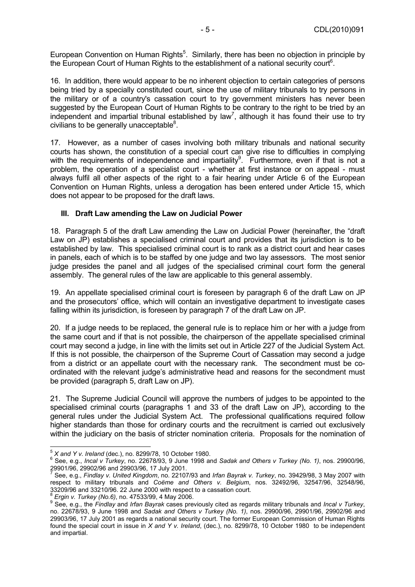European Convention on Human Rights<sup>5</sup>. Similarly, there has been no objection in principle by the European Court of Human Rights to the establishment of a national security court<sup>6</sup>.

16. In addition, there would appear to be no inherent objection to certain categories of persons being tried by a specially constituted court, since the use of military tribunals to try persons in the military or of a country's cassation court to try government ministers has never been suggested by the European Court of Human Rights to be contrary to the right to be tried by an independent and impartial tribunal established by law<sup>7</sup>, although it has found their use to try civilians to be generally unacceptable $8$ .

17. However, as a number of cases involving both military tribunals and national security courts has shown, the constitution of a special court can give rise to difficulties in complying with the requirements of independence and impartiality<sup>9</sup>. Furthermore, even if that is not a problem, the operation of a specialist court - whether at first instance or on appeal - must always fulfil all other aspects of the right to a fair hearing under Article 6 of the European Convention on Human Rights, unless a derogation has been entered under Article 15, which does not appear to be proposed for the draft laws.

#### **III. Draft Law amending the Law on Judicial Power**

18. Paragraph 5 of the draft Law amending the Law on Judicial Power (hereinafter, the "draft Law on JP) establishes a specialised criminal court and provides that its jurisdiction is to be established by law. This specialised criminal court is to rank as a district court and hear cases in panels, each of which is to be staffed by one judge and two lay assessors. The most senior judge presides the panel and all judges of the specialised criminal court form the general assembly. The general rules of the law are applicable to this general assembly.

19. An appellate specialised criminal court is foreseen by paragraph 6 of the draft Law on JP and the prosecutors' office, which will contain an investigative department to investigate cases falling within its jurisdiction, is foreseen by paragraph 7 of the draft Law on JP.

20. If a judge needs to be replaced, the general rule is to replace him or her with a judge from the same court and if that is not possible, the chairperson of the appellate specialised criminal court may second a judge, in line with the limits set out in Article 227 of the Judicial System Act. If this is not possible, the chairperson of the Supreme Court of Cassation may second a judge from a district or an appellate court with the necessary rank. The secondment must be coordinated with the relevant judge's administrative head and reasons for the secondment must be provided (paragraph 5, draft Law on JP).

21. The Supreme Judicial Council will approve the numbers of judges to be appointed to the specialised criminal courts (paragraphs 1 and 33 of the draft Law on JP), according to the general rules under the Judicial System Act. The professional qualifications required follow higher standards than those for ordinary courts and the recruitment is carried out exclusively within the judiciary on the basis of stricter nomination criteria. Proposals for the nomination of

 <sup>5</sup> *X and Y v. Ireland* (dec.), no. 8299/78, 10 October 1980.<br><sup>6</sup> See a.g., Ineel V. Turkey, no. 22678/02, 0, June 1998 ar

See, e.g., *Incal v Turkey*, no. 22678/93, 9 June 1998 and *Sadak and Others v Turkey (No. 1)*, nos. 29900/96, 29901/96, 29902/96 and 29903/96, 17 July 2001.<br><sup>7</sup> See a.g., Findlowy United Kingdom, no. 23107

See, e.g., *Findlay v. United Kingdom*, no. 22107/93 and *Irfan Bayrak v. Turkey*, no. 39429/98, 3 May 2007 with respect to military tribunals and *Coëme and Others v. Belgium*, nos. 32492/96, 32547/96, 32548/96, 33209/96 and 33210/96. 22 June 2000 with respect to a cassation court.

<sup>&</sup>lt;sup>8</sup> *Ergin v. Turkey (No.6)*, no. 47533/99, 4 May 2006.<br><sup>9</sup> See, e.g., the *Findlay* and *Irfan Bayrak* cases previously cited as regards military tribunals and *Incal v Turkey*, no. 22678/93, 9 June 1998 and *Sadak and Others v Turkey (No. 1)*, nos. 29900/96, 29901/96, 29902/96 and 29903/96, 17 July 2001 as regards a national security court. The former European Commission of Human Rights found the special court in issue in *X and Y v. Ireland*, (dec.), no. 8299/78, 10 October 1980 to be independent and impartial.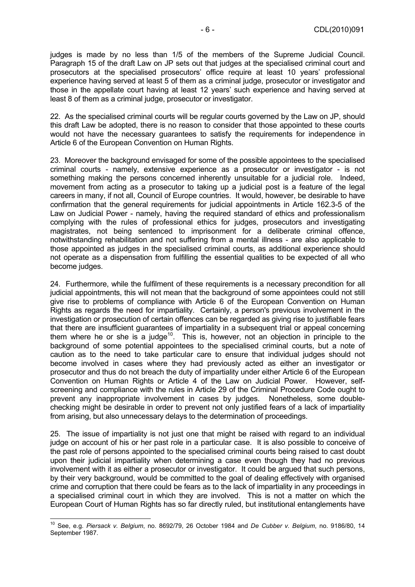judges is made by no less than 1/5 of the members of the Supreme Judicial Council. Paragraph 15 of the draft Law on JP sets out that judges at the specialised criminal court and prosecutors at the specialised prosecutors' office require at least 10 years' professional experience having served at least 5 of them as a criminal judge, prosecutor or investigator and those in the appellate court having at least 12 years' such experience and having served at least 8 of them as a criminal judge, prosecutor or investigator.

22. As the specialised criminal courts will be regular courts governed by the Law on JP, should this draft Law be adopted, there is no reason to consider that those appointed to these courts would not have the necessary guarantees to satisfy the requirements for independence in Article 6 of the European Convention on Human Rights.

23. Moreover the background envisaged for some of the possible appointees to the specialised criminal courts - namely, extensive experience as a prosecutor or investigator - is not something making the persons concerned inherently unsuitable for a judicial role. Indeed, movement from acting as a prosecutor to taking up a judicial post is a feature of the legal careers in many, if not all, Council of Europe countries. It would, however, be desirable to have confirmation that the general requirements for judicial appointments in Article 162.3-5 of the Law on Judicial Power - namely, having the required standard of ethics and professionalism complying with the rules of professional ethics for judges, prosecutors and investigating magistrates, not being sentenced to imprisonment for a deliberate criminal offence, notwithstanding rehabilitation and not suffering from a mental illness - are also applicable to those appointed as judges in the specialised criminal courts, as additional experience should not operate as a dispensation from fulfilling the essential qualities to be expected of all who become judges.

24. Furthermore, while the fulfilment of these requirements is a necessary precondition for all judicial appointments, this will not mean that the background of some appointees could not still give rise to problems of compliance with Article 6 of the European Convention on Human Rights as regards the need for impartiality. Certainly, a person's previous involvement in the investigation or prosecution of certain offences can be regarded as giving rise to justifiable fears that there are insufficient guarantees of impartiality in a subsequent trial or appeal concerning them where he or she is a judge<sup>10</sup>. This is, however, not an objection in principle to the background of some potential appointees to the specialised criminal courts, but a note of caution as to the need to take particular care to ensure that individual judges should not become involved in cases where they had previously acted as either an investigator or prosecutor and thus do not breach the duty of impartiality under either Article 6 of the European Convention on Human Rights or Article 4 of the Law on Judicial Power. However, selfscreening and compliance with the rules in Article 29 of the Criminal Procedure Code ought to prevent any inappropriate involvement in cases by judges. Nonetheless, some doublechecking might be desirable in order to prevent not only justified fears of a lack of impartiality from arising, but also unnecessary delays to the determination of proceedings.

25. The issue of impartiality is not just one that might be raised with regard to an individual judge on account of his or her past role in a particular case. It is also possible to conceive of the past role of persons appointed to the specialised criminal courts being raised to cast doubt upon their judicial impartiality when determining a case even though they had no previous involvement with it as either a prosecutor or investigator. It could be argued that such persons, by their very background, would be committed to the goal of dealing effectively with organised crime and corruption that there could be fears as to the lack of impartiality in any proceedings in a specialised criminal court in which they are involved. This is not a matter on which the European Court of Human Rights has so far directly ruled, but institutional entanglements have

 10 See, e.g. *Piersack v. Belgium*, no. 8692/79, 26 October 1984 and *De Cubber v. Belgium*, no. 9186/80, 14 September 1987.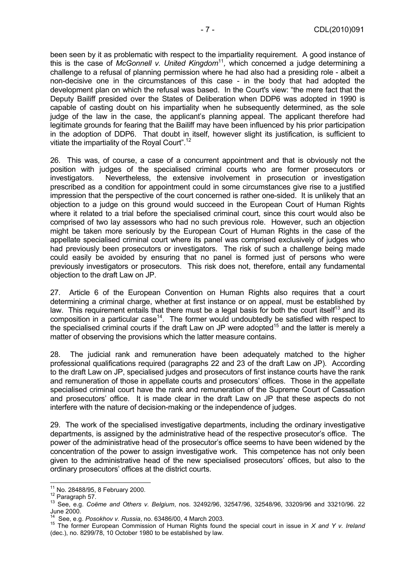been seen by it as problematic with respect to the impartiality requirement. A good instance of this is the case of *McGonnell v. United Kingdom*<sup>11</sup>*,* which concerned a judge determining a challenge to a refusal of planning permission where he had also had a presiding role - albeit a non-decisive one in the circumstances of this case - in the body that had adopted the development plan on which the refusal was based. In the Court's view: "the mere fact that the Deputy Bailiff presided over the States of Deliberation when DDP6 was adopted in 1990 is capable of casting doubt on his impartiality when he subsequently determined, as the sole judge of the law in the case, the applicant's planning appeal. The applicant therefore had legitimate grounds for fearing that the Bailiff may have been influenced by his prior participation in the adoption of DDP6. That doubt in itself, however slight its justification, is sufficient to vitiate the impartiality of the Royal Court".<sup>12</sup>

26. This was, of course, a case of a concurrent appointment and that is obviously not the position with judges of the specialised criminal courts who are former prosecutors or investigators. Nevertheless, the extensive involvement in prosecution or investigation prescribed as a condition for appointment could in some circumstances give rise to a justified impression that the perspective of the court concerned is rather one-sided. It is unlikely that an objection to a judge on this ground would succeed in the European Court of Human Rights where it related to a trial before the specialised criminal court, since this court would also be comprised of two lay assessors who had no such previous role. However, such an objection might be taken more seriously by the European Court of Human Rights in the case of the appellate specialised criminal court where its panel was comprised exclusively of judges who had previously been prosecutors or investigators. The risk of such a challenge being made could easily be avoided by ensuring that no panel is formed just of persons who were previously investigators or prosecutors. This risk does not, therefore, entail any fundamental objection to the draft Law on JP.

27. Article 6 of the European Convention on Human Rights also requires that a court determining a criminal charge, whether at first instance or on appeal, must be established by law. This requirement entails that there must be a legal basis for both the court itself<sup>13</sup> and its composition in a particular case<sup>14</sup>. The former would undoubtedly be satisfied with respect to the specialised criminal courts if the draft Law on JP were adopted<sup>15</sup> and the latter is merely a matter of observing the provisions which the latter measure contains.

28. The judicial rank and remuneration have been adequately matched to the higher professional qualifications required (paragraphs 22 and 23 of the draft Law on JP). According to the draft Law on JP, specialised judges and prosecutors of first instance courts have the rank and remuneration of those in appellate courts and prosecutors' offices. Those in the appellate specialised criminal court have the rank and remuneration of the Supreme Court of Cassation and prosecutors' office. It is made clear in the draft Law on JP that these aspects do not interfere with the nature of decision-making or the independence of judges.

29. The work of the specialised investigative departments, including the ordinary investigative departments, is assigned by the administrative head of the respective prosecutor's office. The power of the administrative head of the prosecutor's office seems to have been widened by the concentration of the power to assign investigative work. This competence has not only been given to the administrative head of the new specialised prosecutors' offices, but also to the ordinary prosecutors' offices at the district courts.

<sup>&</sup>lt;sup>11</sup> No. 28488/95, 8 February 2000.

<sup>12</sup> Paragraph 57.<br><sup>12</sup> Paragraph 57.<br><sup>13</sup> See, e.g. *Coëme and Others v. Belgium*, nos. 32492/96, 32547/96, 32548/96, 33209/96 and 33210/96. 22 June 2000.<br><sup>14</sup> See, e.g. *Posokhov v. Russia*, no. 63486/00, 4 March 2003.

<sup>14</sup> See, e.g. *Posokhov v. Russia*, no. 63486/00, 4 March 2003. 15 The former European Commission of Human Rights found the special court in issue in *X and Y v. Ireland*  (dec.), no. 8299/78, 10 October 1980 to be established by law.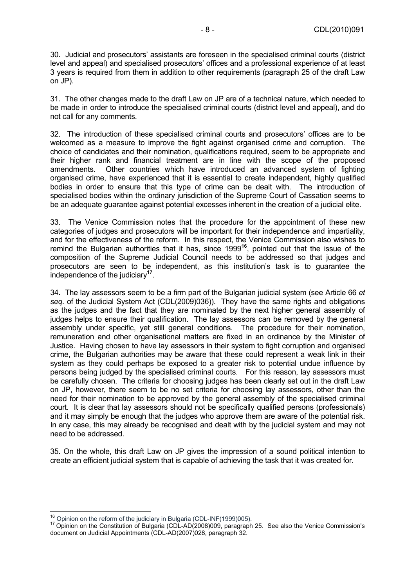30. Judicial and prosecutors' assistants are foreseen in the specialised criminal courts (district level and appeal) and specialised prosecutors' offices and a professional experience of at least 3 years is required from them in addition to other requirements (paragraph 25 of the draft Law on JP).

31. The other changes made to the draft Law on JP are of a technical nature, which needed to be made in order to introduce the specialised criminal courts (district level and appeal), and do not call for any comments.

32. The introduction of these specialised criminal courts and prosecutors' offices are to be welcomed as a measure to improve the fight against organised crime and corruption. The choice of candidates and their nomination, qualifications required, seem to be appropriate and their higher rank and financial treatment are in line with the scope of the proposed amendments. Other countries which have introduced an advanced system of fighting organised crime, have experienced that it is essential to create independent, highly qualified bodies in order to ensure that this type of crime can be dealt with. The introduction of specialised bodies within the ordinary jurisdiction of the Supreme Court of Cassation seems to be an adequate guarantee against potential excesses inherent in the creation of a judicial elite.

33. The Venice Commission notes that the procedure for the appointment of these new categories of judges and prosecutors will be important for their independence and impartiality, and for the effectiveness of the reform. In this respect, the Venice Commission also wishes to remind the Bulgarian authorities that it has, since 1999**<sup>16</sup>**, pointed out that the issue of the composition of the Supreme Judicial Council needs to be addressed so that judges and prosecutors are seen to be independent, as this institution's task is to guarantee the independence of the judiciary**<sup>17</sup>**.

34. The lay assessors seem to be a firm part of the Bulgarian judicial system (see Article 66 *et seq.* of the Judicial System Act (CDL(2009)036)). They have the same rights and obligations as the judges and the fact that they are nominated by the next higher general assembly of judges helps to ensure their qualification. The lay assessors can be removed by the general assembly under specific, yet still general conditions. The procedure for their nomination, remuneration and other organisational matters are fixed in an ordinance by the Minister of Justice. Having chosen to have lay assessors in their system to fight corruption and organised crime, the Bulgarian authorities may be aware that these could represent a weak link in their system as they could perhaps be exposed to a greater risk to potential undue influence by persons being judged by the specialised criminal courts. For this reason, lay assessors must be carefully chosen. The criteria for choosing judges has been clearly set out in the draft Law on JP, however, there seem to be no set criteria for choosing lay assessors, other than the need for their nomination to be approved by the general assembly of the specialised criminal court. It is clear that lay assessors should not be specifically qualified persons (professionals) and it may simply be enough that the judges who approve them are aware of the potential risk. In any case, this may already be recognised and dealt with by the judicial system and may not need to be addressed.

35. On the whole, this draft Law on JP gives the impression of a sound political intention to create an efficient judicial system that is capable of achieving the task that it was created for.

<sup>&</sup>lt;sup>16</sup> Opinion on the reform of the judiciary in Bulgaria (CDL-INF(1999)005).

<sup>&</sup>lt;sup>17</sup> Opinion on the Constitution of Bulgaria (CDL-AD(2008)009, paragraph 25. See also the Venice Commission's document on Judicial Appointments (CDL-AD(2007)028, paragraph 32.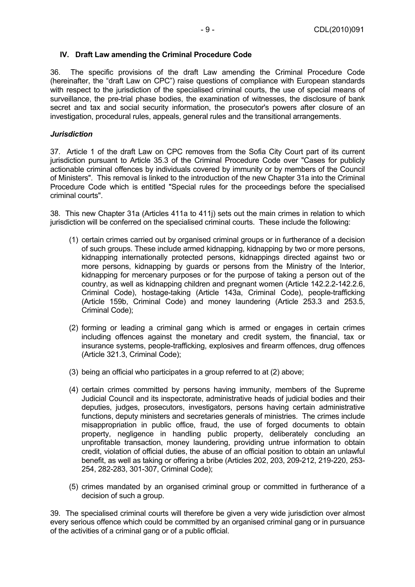#### **IV. Draft Law amending the Criminal Procedure Code**

36. The specific provisions of the draft Law amending the Criminal Procedure Code (hereinafter, the "draft Law on CPC") raise questions of compliance with European standards with respect to the jurisdiction of the specialised criminal courts, the use of special means of surveillance, the pre-trial phase bodies, the examination of witnesses, the disclosure of bank secret and tax and social security information, the prosecutor's powers after closure of an investigation, procedural rules, appeals, general rules and the transitional arrangements.

#### *Jurisdiction*

37. Article 1 of the draft Law on CPC removes from the Sofia City Court part of its current jurisdiction pursuant to Article 35.3 of the Criminal Procedure Code over "Cases for publicly actionable criminal offences by individuals covered by immunity or by members of the Council of Ministers". This removal is linked to the introduction of the new Chapter 31a into the Criminal Procedure Code which is entitled "Special rules for the proceedings before the specialised criminal courts".

38. This new Chapter 31a (Articles 411a to 411j) sets out the main crimes in relation to which jurisdiction will be conferred on the specialised criminal courts. These include the following:

- (1) certain crimes carried out by organised criminal groups or in furtherance of a decision of such groups. These include armed kidnapping, kidnapping by two or more persons, kidnapping internationally protected persons, kidnappings directed against two or more persons, kidnapping by guards or persons from the Ministry of the Interior, kidnapping for mercenary purposes or for the purpose of taking a person out of the country, as well as kidnapping children and pregnant women (Article 142.2.2-142.2.6, Criminal Code), hostage-taking (Article 143a, Criminal Code), people-trafficking (Article 159b, Criminal Code) and money laundering (Article 253.3 and 253.5, Criminal Code);
- (2) forming or leading a criminal gang which is armed or engages in certain crimes including offences against the monetary and credit system, the financial, tax or insurance systems, people-trafficking, explosives and firearm offences, drug offences (Article 321.3, Criminal Code);
- (3) being an official who participates in a group referred to at (2) above;
- (4) certain crimes committed by persons having immunity, members of the Supreme Judicial Council and its inspectorate, administrative heads of judicial bodies and their deputies, judges, prosecutors, investigators, persons having certain administrative functions, deputy ministers and secretaries generals of ministries. The crimes include misappropriation in public office, fraud, the use of forged documents to obtain property, negligence in handling public property, deliberately concluding an unprofitable transaction, money laundering, providing untrue information to obtain credit, violation of official duties, the abuse of an official position to obtain an unlawful benefit, as well as taking or offering a bribe (Articles 202, 203, 209-212, 219-220, 253- 254, 282-283, 301-307, Criminal Code);
- (5) crimes mandated by an organised criminal group or committed in furtherance of a decision of such a group.

39. The specialised criminal courts will therefore be given a very wide jurisdiction over almost every serious offence which could be committed by an organised criminal gang or in pursuance of the activities of a criminal gang or of a public official.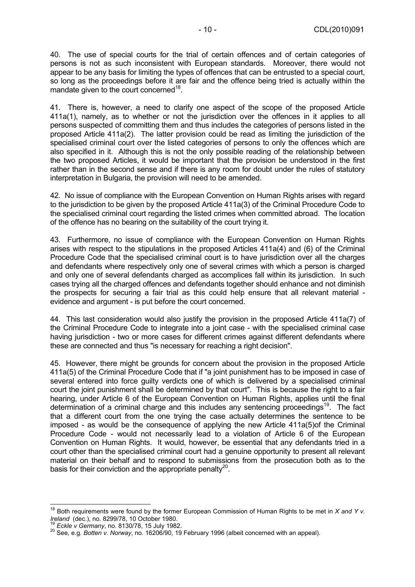40. The use of special courts for the trial of certain offences and of certain categories of persons is not as such inconsistent with European standards. Moreover, there would not appear to be any basis for limiting the types of offences that can be entrusted to a special court, so long as the proceedings before it are fair and the offence being tried is actually within the mandate given to the court concerned<sup>18</sup>.

41. There is, however, a need to clarify one aspect of the scope of the proposed Article 411a(1), namely, as to whether or not the jurisdiction over the offences in it applies to all persons suspected of committing them and thus includes the categories of persons listed in the proposed Article 411a(2). The latter provision could be read as limiting the jurisdiction of the specialised criminal court over the listed categories of persons to only the offences which are also specified in it. Although this is not the only possible reading of the relationship between the two proposed Articles, it would be important that the provision be understood in the first rather than in the second sense and if there is any room for doubt under the rules of statutory interpretation in Bulgaria, the provision will need to be amended.

42. No issue of compliance with the European Convention on Human Rights arises with regard to the jurisdiction to be given by the proposed Article 411a(3) of the Criminal Procedure Code to the specialised criminal court regarding the listed crimes when committed abroad. The location of the offence has no bearing on the suitability of the court trying it.

43. Furthermore, no issue of compliance with the European Convention on Human Rights arises with respect to the stipulations in the proposed Articles 411a(4) and (6) of the Criminal Procedure Code that the specialised criminal court is to have jurisdiction over all the charges and defendants where respectively only one of several crimes with which a person is charged and only one of several defendants charged as accomplices fall within its jurisdiction. In such cases trying all the charged offences and defendants together should enhance and not diminish the prospects for securing a fair trial as this could help ensure that all relevant material evidence and argument - is put before the court concerned.

44. This last consideration would also justify the provision in the proposed Article 411a(7) of the Criminal Procedure Code to integrate into a joint case - with the specialised criminal case having jurisdiction - two or more cases for different crimes against different defendants where these are connected and thus "is necessary for reaching a right decision".

45. However, there might be grounds for concern about the provision in the proposed Article 411a(5) of the Criminal Procedure Code that if "a joint punishment has to be imposed in case of several entered into force quilty verdicts one of which is delivered by a specialised criminal court the joint punishment shall be determined by that court". This is because the right to a fair hearing, under Article 6 of the European Convention on Human Rights, applies until the final determination of a criminal charge and this includes any sentencing proceedings<sup>19</sup>. The fact that a different court from the one trying the case actually determines the sentence to be imposed - as would be the consequence of applying the new Article 411a(5)of the Criminal Procedure Code - would not necessarily lead to a violation of Article 6 of the European Convention on Human Rights. It would, however, be essential that any defendants tried in a court other than the specialised criminal court had a genuine opportunity to present all relevant material on their behalf and to respond to submissions from the prosecution both as to the basis for their conviction and the appropriate penalty<sup>20</sup>.

 $\overline{a}$ 

<sup>&</sup>lt;sup>18</sup> Both requirements were found by the former European Commission of Human Rights to be met in *X and Y v.*<br>*Ireland* (dec.), no. 8299/78, 10 October 1980.

<sup>&</sup>lt;sup>19</sup> *Eckle v Germany*, no. 8130/78, 15 July 1982.<br><sup>20</sup> See, e.g. *Botten v. Norway*, no. 16206/90, 19 February 1996 (albeit concerned with an appeal).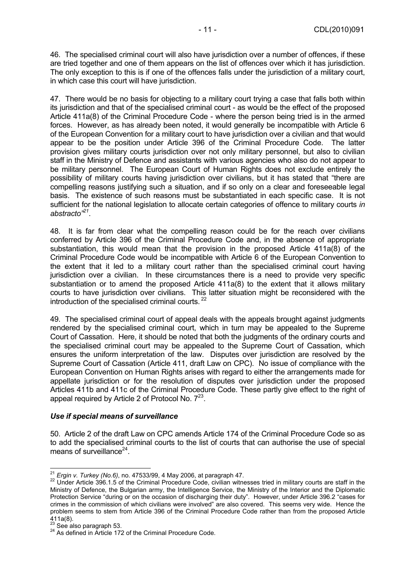46. The specialised criminal court will also have jurisdiction over a number of offences, if these are tried together and one of them appears on the list of offences over which it has jurisdiction. The only exception to this is if one of the offences falls under the jurisdiction of a military court, in which case this court will have jurisdiction.

47. There would be no basis for objecting to a military court trying a case that falls both within its jurisdiction and that of the specialised criminal court - as would be the effect of the proposed Article 411a(8) of the Criminal Procedure Code - where the person being tried is in the armed forces. However, as has already been noted, it would generally be incompatible with Article 6 of the European Convention for a military court to have jurisdiction over a civilian and that would appear to be the position under Article 396 of the Criminal Procedure Code. The latter provision gives military courts jurisdiction over not only military personnel, but also to civilian staff in the Ministry of Defence and assistants with various agencies who also do not appear to be military personnel. The European Court of Human Rights does not exclude entirely the possibility of military courts having jurisdiction over civilians, but it has stated that "there are compelling reasons justifying such a situation, and if so only on a clear and foreseeable legal basis. The existence of such reasons must be substantiated in each specific case. It is not sufficient for the national legislation to allocate certain categories of offence to military courts *in abstracto"21*.

48. It is far from clear what the compelling reason could be for the reach over civilians conferred by Article 396 of the Criminal Procedure Code and, in the absence of appropriate substantiation, this would mean that the provision in the proposed Article 411a(8) of the Criminal Procedure Code would be incompatible with Article 6 of the European Convention to the extent that it led to a military court rather than the specialised criminal court having jurisdiction over a civilian. In these circumstances there is a need to provide very specific substantiation or to amend the proposed Article 411a(8) to the extent that it allows military courts to have jurisdiction over civilians. This latter situation might be reconsidered with the introduction of the specialised criminal courts. 22

49. The specialised criminal court of appeal deals with the appeals brought against judgments rendered by the specialised criminal court, which in turn may be appealed to the Supreme Court of Cassation. Here, it should be noted that both the judgments of the ordinary courts and the specialised criminal court may be appealed to the Supreme Court of Cassation, which ensures the uniform interpretation of the law. Disputes over jurisdiction are resolved by the Supreme Court of Cassation (Article 411, draft Law on CPC). No issue of compliance with the European Convention on Human Rights arises with regard to either the arrangements made for appellate jurisdiction or for the resolution of disputes over jurisdiction under the proposed Articles 411b and 411c of the Criminal Procedure Code. These partly give effect to the right of appeal required by Article 2 of Protocol No.  $7^{23}$ .

## *Use if special means of surveillance*

50. Article 2 of the draft Law on CPC amends Article 174 of the Criminal Procedure Code so as to add the specialised criminal courts to the list of courts that can authorise the use of special means of surveillance $^{24}$ .

 $^{21}$  Ergin v. Turkey (No.6), no. 47533/99, 4 May 2006, at paragraph 47.

<sup>&</sup>lt;sup>22</sup> Under Article 396.1.5 of the Criminal Procedure Code, civilian witnesses tried in military courts are staff in the Ministry of Defence, the Bulgarian army, the Intelligence Service, the Ministry of the Interior and the Diplomatic Protection Service "during or on the occasion of discharging their duty". However, under Article 396.2 "cases for crimes in the commission of which civilians were involved" are also covered. This seems very wide. Hence the problem seems to stem from Article 396 of the Criminal Procedure Code rather than from the proposed Article  $411a(8)$ .<br> $^{23}$  See also paragraph 53.

<sup>&</sup>lt;sup>24</sup> As defined in Article 172 of the Criminal Procedure Code.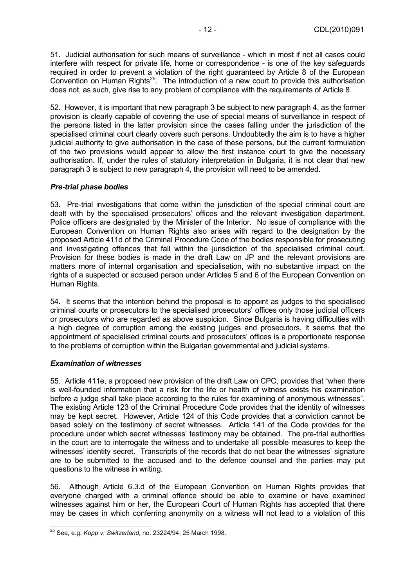51. Judicial authorisation for such means of surveillance - which in most if not all cases could interfere with respect for private life, home or correspondence - is one of the key safeguards required in order to prevent a violation of the right guaranteed by Article 8 of the European Convention on Human Rights<sup>25</sup>. The introduction of a new court to provide this authorisation does not, as such, give rise to any problem of compliance with the requirements of Article 8.

52. However, it is important that new paragraph 3 be subject to new paragraph 4, as the former provision is clearly capable of covering the use of special means of surveillance in respect of the persons listed in the latter provision since the cases falling under the jurisdiction of the specialised criminal court clearly covers such persons. Undoubtedly the aim is to have a higher judicial authority to give authorisation in the case of these persons, but the current formulation of the two provisions would appear to allow the first instance court to give the necessary authorisation. If, under the rules of statutory interpretation in Bulgaria, it is not clear that new paragraph 3 is subject to new paragraph 4, the provision will need to be amended.

#### *Pre-trial phase bodies*

53. Pre-trial investigations that come within the jurisdiction of the special criminal court are dealt with by the specialised prosecutors' offices and the relevant investigation department. Police officers are designated by the Minister of the Interior. No issue of compliance with the European Convention on Human Rights also arises with regard to the designation by the proposed Article 411d of the Criminal Procedure Code of the bodies responsible for prosecuting and investigating offences that fall within the jurisdiction of the specialised criminal court. Provision for these bodies is made in the draft Law on JP and the relevant provisions are matters more of internal organisation and specialisation, with no substantive impact on the rights of a suspected or accused person under Articles 5 and 6 of the European Convention on Human Rights.

54. It seems that the intention behind the proposal is to appoint as judges to the specialised criminal courts or prosecutors to the specialised prosecutors' offices only those judicial officers or prosecutors who are regarded as above suspicion. Since Bulgaria is having difficulties with a high degree of corruption among the existing judges and prosecutors, it seems that the appointment of specialised criminal courts and prosecutors' offices is a proportionate response to the problems of corruption within the Bulgarian governmental and judicial systems.

## *Examination of witnesses*

55. Article 411e, a proposed new provision of the draft Law on CPC, provides that "when there is well-founded information that a risk for the life or health of witness exists his examination before a judge shall take place according to the rules for examining of anonymous witnesses". The existing Article 123 of the Criminal Procedure Code provides that the identity of witnesses may be kept secret. However, Article 124 of this Code provides that a conviction cannot be based solely on the testimony of secret witnesses. Article 141 of the Code provides for the procedure under which secret witnesses' testimony may be obtained. The pre-trial authorities in the court are to interrogate the witness and to undertake all possible measures to keep the witnesses' identity secret. Transcripts of the records that do not bear the witnesses' signature are to be submitted to the accused and to the defence counsel and the parties may put questions to the witness in writing.

56. Although Article 6.3.d of the European Convention on Human Rights provides that everyone charged with a criminal offence should be able to examine or have examined witnesses against him or her, the European Court of Human Rights has accepted that there may be cases in which conferring anonymity on a witness will not lead to a violation of this

 $\overline{a}$ 25 See, e.g. *Kopp v. Switzerland*, no. 23224/94, 25 March 1998.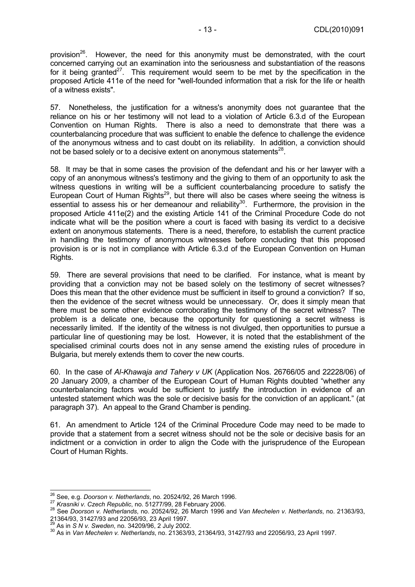provision<sup>26</sup>. However, the need for this anonymity must be demonstrated, with the court concerned carrying out an examination into the seriousness and substantiation of the reasons for it being granted $27$ . This requirement would seem to be met by the specification in the proposed Article 411e of the need for "well-founded information that a risk for the life or health of a witness exists".

57. Nonetheless, the justification for a witness's anonymity does not guarantee that the reliance on his or her testimony will not lead to a violation of Article 6.3.d of the European Convention on Human Rights. There is also a need to demonstrate that there was a counterbalancing procedure that was sufficient to enable the defence to challenge the evidence of the anonymous witness and to cast doubt on its reliability. In addition, a conviction should not be based solely or to a decisive extent on anonymous statements<sup>28</sup>.

58. It may be that in some cases the provision of the defendant and his or her lawyer with a copy of an anonymous witness's testimony and the giving to them of an opportunity to ask the witness questions in writing will be a sufficient counterbalancing procedure to satisfy the European Court of Human Rights<sup>29</sup>, but there will also be cases where seeing the witness is essential to assess his or her demeanour and reliability<sup>30</sup>. Furthermore, the provision in the proposed Article 411e(2) and the existing Article 141 of the Criminal Procedure Code do not indicate what will be the position where a court is faced with basing its verdict to a decisive extent on anonymous statements. There is a need, therefore, to establish the current practice in handling the testimony of anonymous witnesses before concluding that this proposed provision is or is not in compliance with Article 6.3.d of the European Convention on Human Rights.

59. There are several provisions that need to be clarified. For instance, what is meant by providing that a conviction may not be based solely on the testimony of secret witnesses? Does this mean that the other evidence must be sufficient in itself to ground a conviction? If so, then the evidence of the secret witness would be unnecessary. Or, does it simply mean that there must be some other evidence corroborating the testimony of the secret witness? The problem is a delicate one, because the opportunity for questioning a secret witness is necessarily limited. If the identity of the witness is not divulged, then opportunities to pursue a particular line of questioning may be lost. However, it is noted that the establishment of the specialised criminal courts does not in any sense amend the existing rules of procedure in Bulgaria, but merely extends them to cover the new courts.

60. In the case of *Al-Khawaja and Tahery v UK* (Application Nos. 26766/05 and 22228/06) of 20 January 2009, a chamber of the European Court of Human Rights doubted "whether any counterbalancing factors would be sufficient to justify the introduction in evidence of an untested statement which was the sole or decisive basis for the conviction of an applicant." (at paragraph 37). An appeal to the Grand Chamber is pending.

61. An amendment to Article 124 of the Criminal Procedure Code may need to be made to provide that a statement from a secret witness should not be the sole or decisive basis for an indictment or a conviction in order to align the Code with the jurisprudence of the European Court of Human Rights.

<sup>&</sup>lt;sup>26</sup> See, e.g. Doorson v. Netherlands, no. 20524/92, 26 March 1996.

<sup>&</sup>lt;sup>27</sup> Krasniki v. Czech Republic, no. 51277/99, 28 February 2006.<br><sup>28</sup> See Doorson v. Netherlands, no. 20524/92, 26 March 1996 and Van Mechelen v. Netherlands, no. 21363/93, 21364/93, 31427/93 and 22056/93, 23 April 1997.

<sup>&</sup>lt;sup>29</sup> As in *S N v. Sweden*, no. 34209/96, 2 July 2002.<br><sup>30</sup> As in *Van Mechelen v. Netherlands*, no. 21363/93, 21364/93, 31427/93 and 22056/93, 23 April 1997.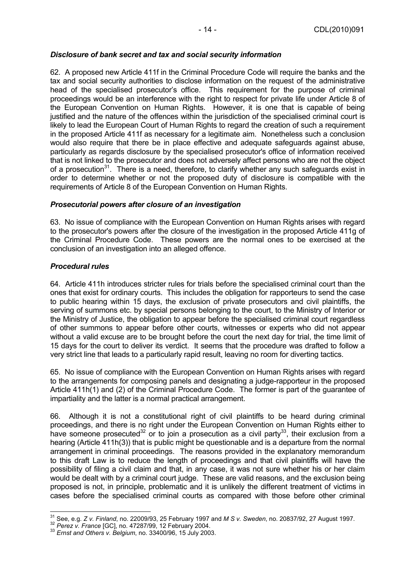## *Disclosure of bank secret and tax and social security information*

62. A proposed new Article 411f in the Criminal Procedure Code will require the banks and the tax and social security authorities to disclose information on the request of the administrative head of the specialised prosecutor's office. This requirement for the purpose of criminal proceedings would be an interference with the right to respect for private life under Article 8 of the European Convention on Human Rights. However, it is one that is capable of being justified and the nature of the offences within the jurisdiction of the specialised criminal court is likely to lead the European Court of Human Rights to regard the creation of such a requirement in the proposed Article 411f as necessary for a legitimate aim. Nonetheless such a conclusion would also require that there be in place effective and adequate safeguards against abuse, particularly as regards disclosure by the specialised prosecutor's office of information received that is not linked to the prosecutor and does not adversely affect persons who are not the object of a prosecution<sup>31</sup>. There is a need, therefore, to clarify whether any such safeguards exist in order to determine whether or not the proposed duty of disclosure is compatible with the requirements of Article 8 of the European Convention on Human Rights.

#### *Prosecutorial powers after closure of an investigation*

63. No issue of compliance with the European Convention on Human Rights arises with regard to the prosecutor's powers after the closure of the investigation in the proposed Article 411g of the Criminal Procedure Code. These powers are the normal ones to be exercised at the conclusion of an investigation into an alleged offence.

#### *Procedural rules*

64. Article 411h introduces stricter rules for trials before the specialised criminal court than the ones that exist for ordinary courts. This includes the obligation for rapporteurs to send the case to public hearing within 15 days, the exclusion of private prosecutors and civil plaintiffs, the serving of summons etc. by special persons belonging to the court, to the Ministry of Interior or the Ministry of Justice, the obligation to appear before the specialised criminal court regardless of other summons to appear before other courts, witnesses or experts who did not appear without a valid excuse are to be brought before the court the next day for trial, the time limit of 15 days for the court to deliver its verdict. It seems that the procedure was drafted to follow a very strict line that leads to a particularly rapid result, leaving no room for diverting tactics.

65. No issue of compliance with the European Convention on Human Rights arises with regard to the arrangements for composing panels and designating a judge-rapporteur in the proposed Article 411h(1) and (2) of the Criminal Procedure Code. The former is part of the guarantee of impartiality and the latter is a normal practical arrangement.

66. Although it is not a constitutional right of civil plaintiffs to be heard during criminal proceedings, and there is no right under the European Convention on Human Rights either to have someone prosecuted<sup>32</sup> or to join a prosecution as a civil party<sup>33</sup>, their exclusion from a hearing (Article 411h(3)) that is public might be questionable and is a departure from the normal arrangement in criminal proceedings. The reasons provided in the explanatory memorandum to this draft Law is to reduce the length of proceedings and that civil plaintiffs will have the possibility of filing a civil claim and that, in any case, it was not sure whether his or her claim would be dealt with by a criminal court judge. These are valid reasons, and the exclusion being proposed is not, in principle, problematic and it is unlikely the different treatment of victims in cases before the specialised criminal courts as compared with those before other criminal

 <sup>31</sup> See, e.g. Z v. *Finland*, no. 22009/93, 25 February 1997 and *M S v. Sweden*, no. 20837/92, 27 August 1997.<br><sup>32</sup> *Perez v. France* [GC], no. 47287/99, 12 February 2004.<br><sup>33</sup> *Ernst and Others v. Belgium*, no. 33400/96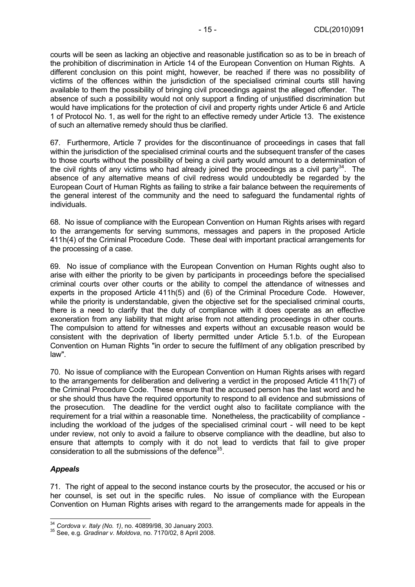courts will be seen as lacking an objective and reasonable justification so as to be in breach of the prohibition of discrimination in Article 14 of the European Convention on Human Rights. A different conclusion on this point might, however, be reached if there was no possibility of victims of the offences within the jurisdiction of the specialised criminal courts still having available to them the possibility of bringing civil proceedings against the alleged offender. The absence of such a possibility would not only support a finding of unjustified discrimination but would have implications for the protection of civil and property rights under Article 6 and Article 1 of Protocol No. 1, as well for the right to an effective remedy under Article 13. The existence of such an alternative remedy should thus be clarified.

67. Furthermore, Article 7 provides for the discontinuance of proceedings in cases that fall within the jurisdiction of the specialised criminal courts and the subsequent transfer of the cases to those courts without the possibility of being a civil party would amount to a determination of the civil rights of any victims who had already joined the proceedings as a civil party<sup>34</sup>. The absence of any alternative means of civil redress would undoubtedly be regarded by the European Court of Human Rights as failing to strike a fair balance between the requirements of the general interest of the community and the need to safeguard the fundamental rights of individuals.

68. No issue of compliance with the European Convention on Human Rights arises with regard to the arrangements for serving summons, messages and papers in the proposed Article 411h(4) of the Criminal Procedure Code. These deal with important practical arrangements for the processing of a case.

69. No issue of compliance with the European Convention on Human Rights ought also to arise with either the priority to be given by participants in proceedings before the specialised criminal courts over other courts or the ability to compel the attendance of witnesses and experts in the proposed Article 411h(5) and (6) of the Criminal Procedure Code. However, while the priority is understandable, given the objective set for the specialised criminal courts, there is a need to clarify that the duty of compliance with it does operate as an effective exoneration from any liability that might arise from not attending proceedings in other courts. The compulsion to attend for witnesses and experts without an excusable reason would be consistent with the deprivation of liberty permitted under Article 5.1.b. of the European Convention on Human Rights "in order to secure the fulfilment of any obligation prescribed by law".

70. No issue of compliance with the European Convention on Human Rights arises with regard to the arrangements for deliberation and delivering a verdict in the proposed Article 411h(7) of the Criminal Procedure Code. These ensure that the accused person has the last word and he or she should thus have the required opportunity to respond to all evidence and submissions of the prosecution. The deadline for the verdict ought also to facilitate compliance with the requirement for a trial within a reasonable time. Nonetheless, the practicability of compliance including the workload of the judges of the specialised criminal court - will need to be kept under review, not only to avoid a failure to observe compliance with the deadline, but also to ensure that attempts to comply with it do not lead to verdicts that fail to give proper consideration to all the submissions of the defence  $35$ .

## *Appeals*

71. The right of appeal to the second instance courts by the prosecutor, the accused or his or her counsel, is set out in the specific rules. No issue of compliance with the European Convention on Human Rights arises with regard to the arrangements made for appeals in the

<sup>&</sup>lt;sup>34</sup> Cordova v. Italy (No. 1), no. 40899/98, 30 January 2003.

<sup>34</sup> *Cordova v. Italy (No. 1)*, no. 40899/98, 30 January 2003. 35 See, e.g. *Gradinar v. Moldova*, no. 7170/02, 8 April 2008.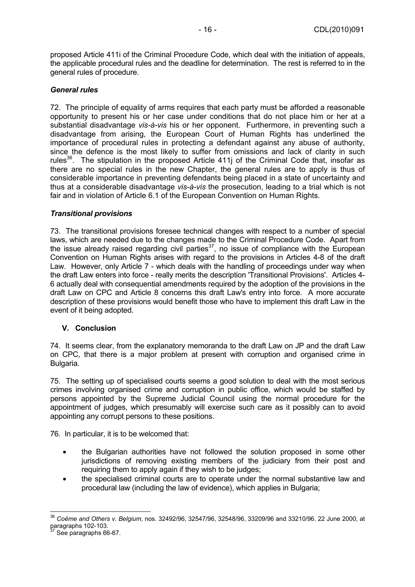proposed Article 411i of the Criminal Procedure Code, which deal with the initiation of appeals, the applicable procedural rules and the deadline for determination. The rest is referred to in the general rules of procedure.

## *General rules*

72. The principle of equality of arms requires that each party must be afforded a reasonable opportunity to present his or her case under conditions that do not place him or her at a substantial disadvantage *vis-à-vis* his or her opponent. Furthermore, in preventing such a disadvantage from arising, the European Court of Human Rights has underlined the importance of procedural rules in protecting a defendant against any abuse of authority, since the defence is the most likely to suffer from omissions and lack of clarity in such rules $36$ . The stipulation in the proposed Article 411j of the Criminal Code that, insofar as there are no special rules in the new Chapter, the general rules are to apply is thus of considerable importance in preventing defendants being placed in a state of uncertainty and thus at a considerable disadvantage *vis-à-vis* the prosecution, leading to a trial which is not fair and in violation of Article 6.1 of the European Convention on Human Rights.

## *Transitional provisions*

73. The transitional provisions foresee technical changes with respect to a number of special laws, which are needed due to the changes made to the Criminal Procedure Code. Apart from the issue already raised regarding civil parties<sup>37</sup>, no issue of compliance with the European Convention on Human Rights arises with regard to the provisions in Articles 4-8 of the draft Law. However, only Article 7 - which deals with the handling of proceedings under way when the draft Law enters into force - really merits the description 'Transitional Provisions'. Articles 4- 6 actually deal with consequential amendments required by the adoption of the provisions in the draft Law on CPC and Article 8 concerns this draft Law's entry into force. A more accurate description of these provisions would benefit those who have to implement this draft Law in the event of it being adopted.

## **V. Conclusion**

74. It seems clear, from the explanatory memoranda to the draft Law on JP and the draft Law on CPC, that there is a major problem at present with corruption and organised crime in Bulgaria.

75. The setting up of specialised courts seems a good solution to deal with the most serious crimes involving organised crime and corruption in public office, which would be staffed by persons appointed by the Supreme Judicial Council using the normal procedure for the appointment of judges, which presumably will exercise such care as it possibly can to avoid appointing any corrupt persons to these positions.

76. In particular, it is to be welcomed that:

- the Bulgarian authorities have not followed the solution proposed in some other jurisdictions of removing existing members of the judiciary from their post and requiring them to apply again if they wish to be judges;
- the specialised criminal courts are to operate under the normal substantive law and procedural law (including the law of evidence), which applies in Bulgaria;

<sup>36</sup> *Coëme and Others v. Belgium*, nos. 32492/96, 32547/96, 32548/96, 33209/96 and 33210/96. 22 June 2000, at paragraphs 102-103.

See paragraphs 66-67.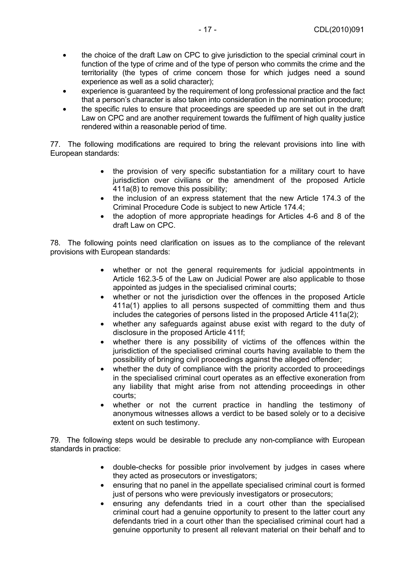- the choice of the draft Law on CPC to give jurisdiction to the special criminal court in function of the type of crime and of the type of person who commits the crime and the territoriality (the types of crime concern those for which judges need a sound experience as well as a solid character);
- experience is guaranteed by the requirement of long professional practice and the fact that a person's character is also taken into consideration in the nomination procedure;
- the specific rules to ensure that proceedings are speeded up are set out in the draft Law on CPC and are another requirement towards the fulfilment of high quality justice rendered within a reasonable period of time.

77. The following modifications are required to bring the relevant provisions into line with European standards:

- the provision of very specific substantiation for a military court to have jurisdiction over civilians or the amendment of the proposed Article 411a(8) to remove this possibility;
- the inclusion of an express statement that the new Article 174.3 of the Criminal Procedure Code is subject to new Article 174.4;
- the adoption of more appropriate headings for Articles 4-6 and 8 of the draft Law on CPC.

78. The following points need clarification on issues as to the compliance of the relevant provisions with European standards:

- whether or not the general requirements for judicial appointments in Article 162.3-5 of the Law on Judicial Power are also applicable to those appointed as judges in the specialised criminal courts;
- whether or not the jurisdiction over the offences in the proposed Article 411a(1) applies to all persons suspected of committing them and thus includes the categories of persons listed in the proposed Article 411a(2);
- whether any safeguards against abuse exist with regard to the duty of disclosure in the proposed Article 411f;
- whether there is any possibility of victims of the offences within the jurisdiction of the specialised criminal courts having available to them the possibility of bringing civil proceedings against the alleged offender;
- whether the duty of compliance with the priority accorded to proceedings in the specialised criminal court operates as an effective exoneration from any liability that might arise from not attending proceedings in other courts;
- whether or not the current practice in handling the testimony of anonymous witnesses allows a verdict to be based solely or to a decisive extent on such testimony.

79. The following steps would be desirable to preclude any non-compliance with European standards in practice:

- double-checks for possible prior involvement by judges in cases where they acted as prosecutors or investigators;
- ensuring that no panel in the appellate specialised criminal court is formed just of persons who were previously investigators or prosecutors;
- ensuring any defendants tried in a court other than the specialised criminal court had a genuine opportunity to present to the latter court any defendants tried in a court other than the specialised criminal court had a genuine opportunity to present all relevant material on their behalf and to